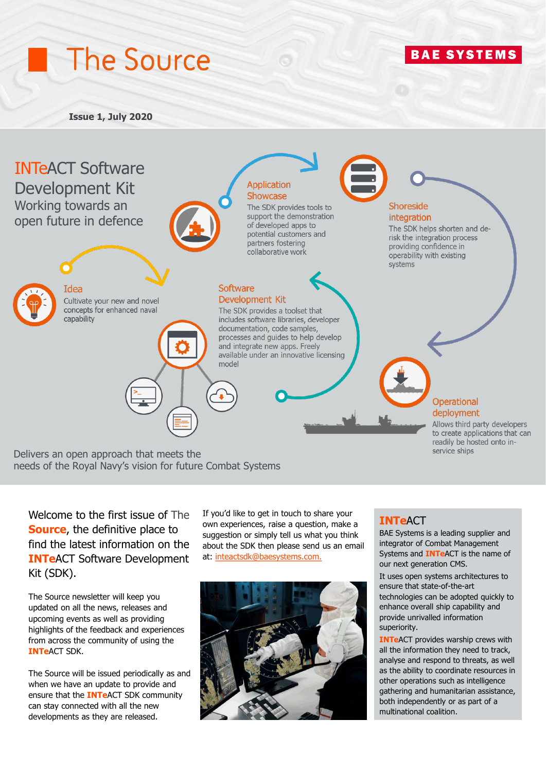# The Source

## **BAE SYSTEMS**

#### **Issue 1, July 2020**



needs of the Royal Navy's vision for future Combat Systems

Welcome to the first issue of The **Source**, the definitive place to find the latest information on the **INTe**ACT Software Development Kit (SDK).

The Source newsletter will keep you updated on all the news, releases and upcoming events as well as providing highlights of the feedback and experiences from across the community of using the **INTe**ACT SDK.

The Source will be issued periodically as and when we have an update to provide and ensure that the **INTe**ACT SDK community can stay connected with all the new developments as they are released.

If you'd like to get in touch to share your own experiences, raise a question, make a suggestion or simply tell us what you think about the SDK then please send us an email at: [inteactsdk@baesystems.com.](mailto:inteactsdk@baesystems.com)



#### **INTe**ACT

BAE Systems is a leading supplier and integrator of Combat Management Systems and **INTe**ACT i[s the name](https://www.baesystems.com/en-uk/product/combat-management-systems) of our next generation CMS.

It uses open systems architectures to ensure that state-of-the-art technologies can be adopted quickly to enhance overall ship capability and provide unrivalled information superiority.

**INTe**ACT provides warship crews with all the information they need to track, analyse and respond to threats, as well as the ability to coordinate resources in other operations such as intelligence gathering and humanitarian assistance, both independently or as part of a multinational coalition.